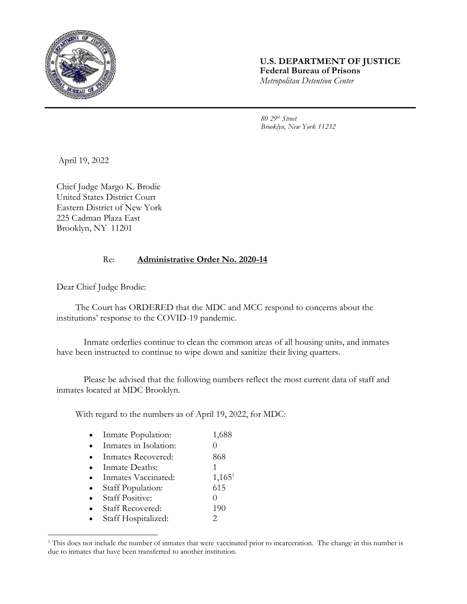

## **U.S. DEPARTMENT OF JUSTICE Federal Bureau of Prisons** *Metropolitan Detention Center*

*80 29th Street Brooklyn, New York 11232*

April 19, 2022

Chief Judge Margo K. Brodie United States District Court Eastern District of New York 225 Cadman Plaza East Brooklyn, NY 11201

## Re: **Administrative Order No. 2020-14**

Dear Chief Judge Brodie:

The Court has ORDERED that the MDC and MCC respond to concerns about the institutions' response to the COVID-19 pandemic.

Inmate orderlies continue to clean the common areas of all housing units, and inmates have been instructed to continue to wipe down and sanitize their living quarters.

Please be advised that the following numbers reflect the most current data of staff and inmates located at MDC Brooklyn.

With regard to the numbers as of April 19, 2022, for MDC:

| Inmate Population:      | 1,688     |
|-------------------------|-----------|
| Inmates in Isolation:   |           |
| Inmates Recovered:      | 868       |
| Inmate Deaths:          |           |
| Inmates Vaccinated:     | $1,165^1$ |
| Staff Population:       | 615       |
| <b>Staff Positive:</b>  |           |
| <b>Staff Recovered:</b> | 190       |
| Staff Hospitalized:     |           |

<sup>&</sup>lt;sup>1</sup> This does not include the number of inmates that were vaccinated prior to incarceration. The change in this number is due to inmates that have been transferred to another institution.